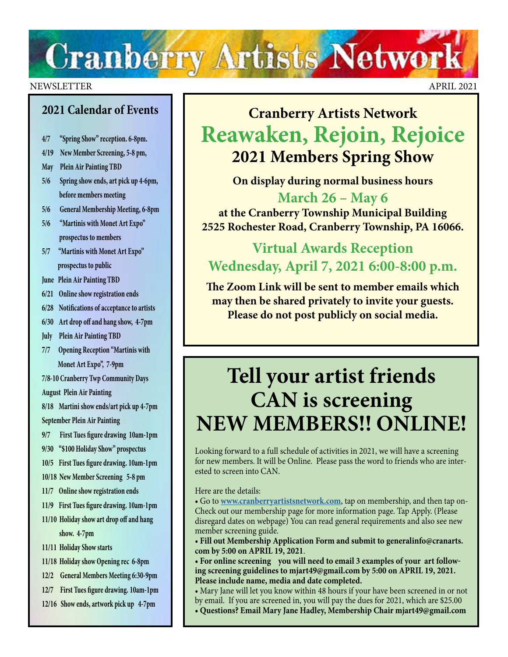# **Cranberry Artists Network**

#### NEWSLETTER APRIL 2021

### **2021 Calendar of Events**

- **4/7 "Spring Show" reception. 6-8pm.**
- **4/19 New Member Screening, 5-8 pm,**
- **May Plein Air Painting TBD**
- **5/6 Spring show ends, art pick up 4-6pm, before members meeting**
- **5/6 General Membership Meeting, 6-8pm**
- **5/6 "Martinis with Monet Art Expo" prospectus to members**
- **5/7 "Martinis with Monet Art Expo" prospectus to public**
- **June Plein Air Painting TBD**
- **6/21 Online show registration ends**
- **6/28 Notifications of acceptance to artists**
- **6/30 Art drop off and hang show, 4-7pm**
- **July Plein Air Painting TBD**
- **7/7 Opening Reception "Martinis with Monet Art Expo", 7-9pm**
- **7/8-10 Cranberry Twp Community Days August Plein Air Painting**
- **8/18 Martini show ends/art pick up 4-7pm September Plein Air Painting**
- **9/7 First Tues figure drawing 10am-1pm**
- **9/30 "\$100 Holiday Show" prospectus**
- **10/5 First Tues figure drawing. 10am-1pm**
- **10/18 New Member Screening 5-8 pm**
- **11/7 Online show registration ends**
- **11/9 First Tues figure drawing. 10am-1pm**
- **11/10 Holiday show art drop off and hang**

 **show. 4-7pm**

- **11/11 Holiday Show starts**
- **11/18 Holiday show Opening rec 6-8pm**
- **12/2 General Members Meeting 6:30-9pm**
- **12/7 First Tues figure drawing. 10am-1pm**
- **12/16 Show ends, artwork pick up 4-7pm**

### **Cranberry Artists Network Reawaken, Rejoin, Rejoice 2021 Members Spring Show**

**On display during normal business hours**

**March 26 – May 6 at the Cranberry Township Municipal Building 2525 Rochester Road, Cranberry Township, PA 16066.**

### **Virtual Awards Reception Wednesday, April 7, 2021 6:00-8:00 p.m.**

**The Zoom Link will be sent to member emails which may then be shared privately to invite your guests. Please do not post publicly on social media.**

### **Tell your artist friends CAN is screening NEW MEMBERS!! ONLINE!**

Looking forward to a full schedule of activities in 2021, we will have a screening for new members. It will be Online. Please pass the word to friends who are interested to screen into CAN.

Here are the details:

• Go to **[www.cranberryartistsnetwork.com](https://www.callforentry.org/artist-help-cafe
)**, tap on membership, and then tap on-Check out our membership page for more information page. Tap Apply. (Please disregard dates on webpage) You can read general requirements and also see new member screening guide.

• **Fill out Membership Application Form and submit to generalinfo@cranarts. com by 5:00 on APRIL 19, 2021**.

**• For online screening you will need to email 3 examples of your art following screening guidelines to mjart49@gmail.com by 5:00 on APRIL 19, 2021. Please include name, media and date completed.**

- Mary Jane will let you know within 48 hours if your have been screened in or not by email. If you are screened in, you will pay the dues for 2021, which are \$25.00
- **Questions? Email Mary Jane Hadley, Membership Chair mjart49@gmail.com**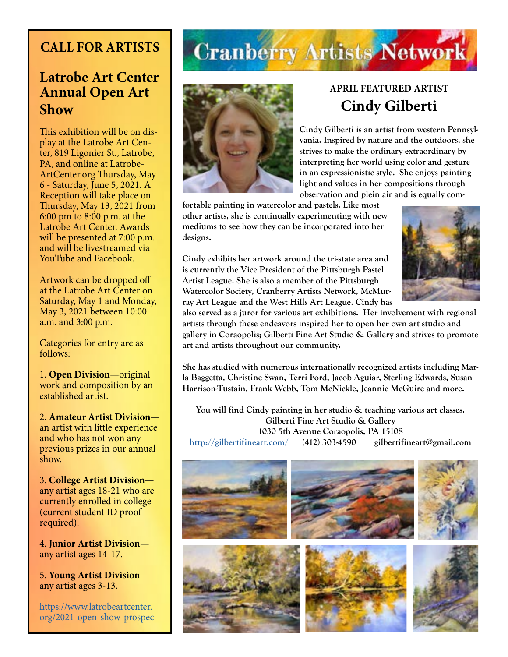### **CALL FOR ARTISTS**

### **Latrobe Art Center Annual Open Art Show**

This exhibition will be on display at the Latrobe Art Center, 819 Ligonier St., Latrobe, PA, and online at Latrobe-ArtCenter.org Thursday, May 6 - Saturday, June 5, 2021. A Reception will take place on Thursday, May 13, 2021 from 6:00 pm to 8:00 p.m. at the Latrobe Art Center. Awards will be presented at 7:00 p.m. and will be livestreamed via YouTube and Facebook.

Artwork can be dropped off at the Latrobe Art Center on Saturday, May 1 and Monday, May 3, 2021 between 10:00 a.m. and 3:00 p.m.

Categories for entry are as follows:

1. **Open Division**—original work and composition by an established artist.

2. **Amateur Artist Division** an artist with little experience and who has not won any previous prizes in our annual show.

3. **College Artist Division** any artist ages 18-21 who are currently enrolled in college (current student ID proof required).

4. **Junior Artist Division** any artist ages 14-17.

5. **Young Artist Division** any artist ages 3-13.

[https://www.latrobeartcenter.](https://www.latrobeartcenter.org/2021-open-show-prospectus) [org/2021-open-show-prospec-](https://www.latrobeartcenter.org/2021-open-show-prospectus)

## **Cranberry Artists Network**



### **APRIL FEATURED ARTIST Cindy Gilberti**

**Cindy Gilberti is an artist from western Pennsylvania. Inspired by nature and the outdoors, she strives to make the ordinary extraordinary by interpreting her world using color and gesture in an expressionistic style. She enjoys painting light and values in her compositions through observation and plein air and is equally com-**

**fortable painting in watercolor and pastels. Like most other artists, she is continually experimenting with new mediums to see how they can be incorporated into her designs.**

**Cindy exhibits her artwork around the tri-state area and is currently the Vice President of the Pittsburgh Pastel Artist League. She is also a member of the Pittsburgh Watercolor Society, Cranberry Artists Network, McMurray Art League and the West Hills Art League. Cindy has** 



**also served as a juror for various art exhibitions. Her involvement with regional artists through these endeavors inspired her to open her own art studio and gallery in Coraopolis; Gilberti Fine Art Studio & Gallery and strives to promote art and artists throughout our community.**

**She has studied with numerous internationally recognized artists including Marla Baggetta, Christine Swan, Terri Ford, Jacob Aguiar, Sterling Edwards, Susan Harrison-Tustain, Frank Webb, Tom McNickle, Jeannie McGuire and more.**

**You will find Cindy painting in her studio & teaching various art classes. Gilberti Fine Art Studio & Gallery 1030 5th Avenue Coraopolis, PA 15108 <http://gilbertifineart.com/>(412) 303-4590 gilbertifineart@gmail.com**

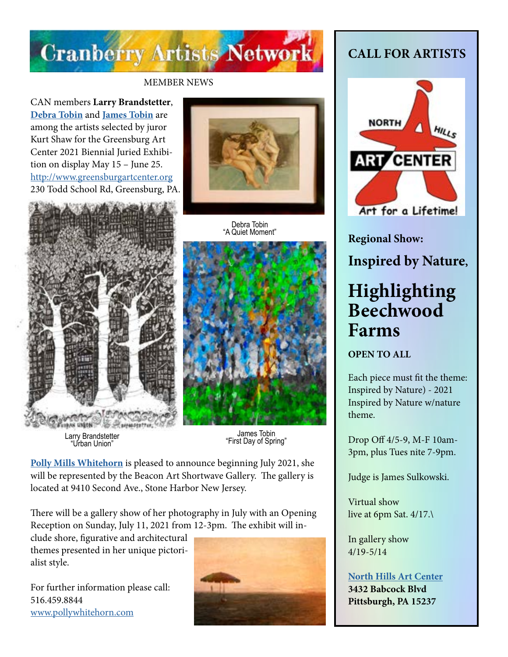

### MEMBER NEWS

CAN members **Larry Brandstetter**, **[Debra Tobin](http://debratobinart.com)** and **[James Tobin](http://jamestobinart.com)** are among the artists selected by juror Kurt Shaw for the Greensburg Art Center 2021 Biennial Juried Exhibition on display May 15 – June 25. <http://www.greensburgartcenter.org> 230 Todd School Rd, Greensburg, PA.





Debra Tobin "A Quiet Moment"



James Tobin "First Day of Spring" Larry Brandstetter "Urban Union"

**[Polly Mills Whitehorn](http://www.pollywhitehorn.com)** is pleased to announce beginning July 2021, she will be represented by the Beacon Art Shortwave Gallery. The gallery is located at 9410 Second Ave., Stone Harbor New Jersey.

There will be a gallery show of her photography in July with an Opening Reception on Sunday, July 11, 2021 from 12-3pm. The exhibit will in-

clude shore, figurative and architectural themes presented in her unique pictorialist style.

For further information please call: 516.459.8844 [www.pollywhitehorn.com](http://www.pollywhitehorn.com)



### **CALL FOR ARTISTS**



**Regional Show:** 

**Inspired by Nature,**

### **Highlighting Beechwood Farms**

**OPEN TO ALL**

Each piece must fit the theme: Inspired by Nature) - 2021 Inspired by Nature w/nature theme.

Drop Off 4/5-9, M-F 10am-3pm, plus Tues nite 7-9pm.

Judge is James Sulkowski.

Virtual show live at 6pm Sat. 4/17.\

In gallery show 4/19-5/14

### **[North Hills Art Center](https://northhillsartcenter.org/) 3432 Babcock Blvd Pittsburgh, PA 15237**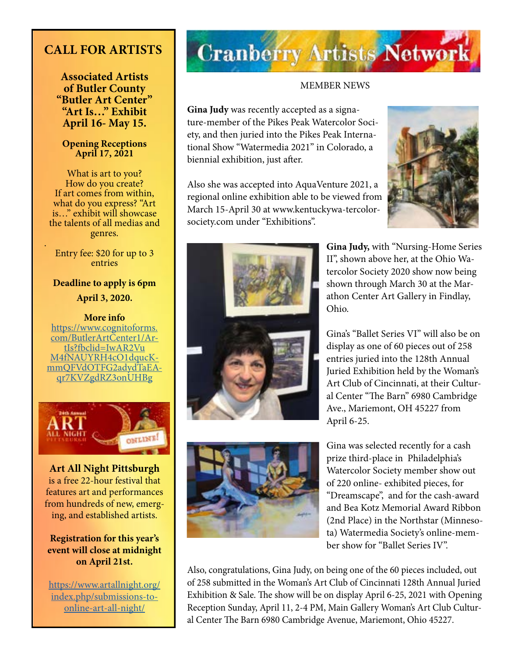### **CALL FOR ARTISTS**

**Associated Artists of Butler County "Butler Art Center" "Art Is…" Exhibit April 16- May 15.**

### **Opening Receptions April 17, 2021**

What is art to you? How do you create? If art comes from within, what do you express? "Art is…" exhibit will showcase the talents of all medias and genres.

Entry fee: \$20 for up to 3 entries

.

**Deadline to apply is 6pm April 3, 2020.**

**More info**  https://www.cognitoforms. com/ButlerArtCenter1/ArtIs?fbclid=IwAR2Vu M4fNAUYRH4cO1dqucKmmQFVdOTFG2adydTaEAqr7KVZgdRZ3onUHBg



**Art All Night Pittsburgh** is a free 22-hour festival that features art and performances from hundreds of new, emerging, and established artists.

### **Registration for this year's event will close at midnight on April 21st.**

https://www.artallnight.org/ index.php/submissions-toonline-art-all-night/

## **Cranberry Artists Network**

### MEMBER NEWS

**Gina Judy** was recently accepted as a signature-member of the Pikes Peak Watercolor Society, and then juried into the Pikes Peak International Show "Watermedia 2021" in Colorado, a biennial exhibition, just after.

Also she was accepted into AquaVenture 2021, a regional online exhibition able to be viewed from March 15-April 30 at www.kentuckywa-tercolorsociety.com under "Exhibitions".







**Gina Judy,** with "Nursing-Home Series II", shown above her, at the Ohio Watercolor Society 2020 show now being shown through March 30 at the Marathon Center Art Gallery in Findlay, Ohio.

Gina's "Ballet Series VI" will also be on display as one of 60 pieces out of 258 entries juried into the 128th Annual Juried Exhibition held by the Woman's Art Club of Cincinnati, at their Cultural Center "The Barn" 6980 Cambridge Ave., Mariemont, OH 45227 from April 6-25.

Gina was selected recently for a cash prize third-place in Philadelphia's Watercolor Society member show out of 220 online- exhibited pieces, for "Dreamscape", and for the cash-award and Bea Kotz Memorial Award Ribbon (2nd Place) in the Northstar (Minnesota) Watermedia Society's online-member show for "Ballet Series IV".

Also, congratulations, Gina Judy, on being one of the 60 pieces included, out of 258 submitted in the Woman's Art Club of Cincinnati 128th Annual Juried Exhibition & Sale. The show will be on display April 6-25, 2021 with Opening Reception Sunday, April 11, 2-4 PM, Main Gallery Woman's Art Club Cultural Center The Barn 6980 Cambridge Avenue, Mariemont, Ohio 45227.